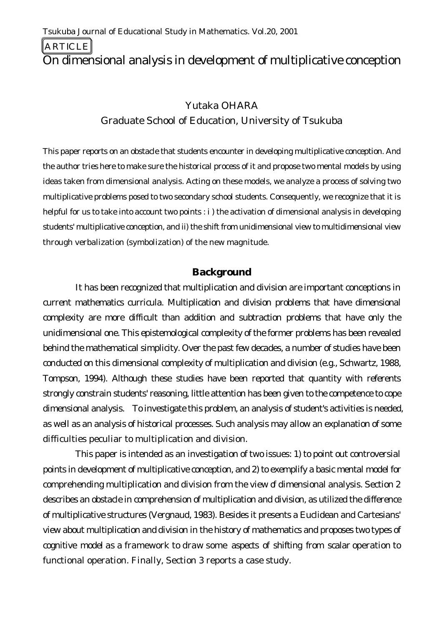ARTICLE

# On dimensional analysis in development of multiplicative conception

### Yutaka OHARA

## Graduate School of Education, University of Tsukuba

*This paper reports on an obstacle that students encounter in developing multiplicative conception. And the author tries here to make sure the historical process of it and propose two mental models by using ideas taken from dimensional analysis. Acting on these models, we analyze a process of solving two multiplicative problems posed to two secondary school students. Consequently, we recognize that it is helpful for us to take into account two points : i ) the activation of dimensional analysis in developing students' multiplicative conception, and ii) the shift from unidimensional view to multidimensional view through verbalization (symbolization) of the new magnitude.*

### **Background**

It has been recognized that multiplication and division are important conceptions in current mathematics curricula. Multiplication and division problems that have dimensional complexity are more difficult than addition and subtraction problems that have only the unidimensional one. This epistemological complexity of the former problems has been revealed behind the mathematical simplicity. Over the past few decades, a number of studies have been conducted on this dimensional complexity of multiplication and division (e.g., Schwartz, 1988, Tompson, 1994). Although these studies have been reported that quantity with referents strongly constrain students' reasoning, little attention has been given to the competence to cope dimensional analysis. To investigate this problem, an analysis of student's activities is needed, as well as an analysis of historical processes. Such analysis may allow an explanation of some difficulties peculiar to multiplication and division.

This paper is intended as an investigation of two issues: 1) to point out controversial points in development of multiplicative conception, and 2) to exemplify a basic mental model for comprehending multiplication and division from the view of dimensional analysis. Section 2 describes an obstacle in comprehension of multiplication and division, as utilized the difference of multiplicative structures (Vergnaud, 1983). Besides it presents a Euclidean and Cartesians' view about multiplication and division in the history of mathematics and proposes two types of cognitive model as a framework to draw some aspects of shifting from scalar operation to functional operation. Finally, Section 3 reports a case study.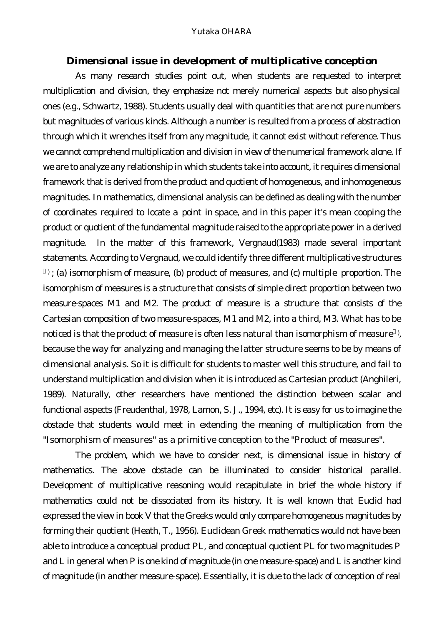#### **Dimensional issue in development of multiplicative conception**

As many research studies point out, when students are requested to interpret multiplication and division, they emphasize not merely numerical aspects but also physical ones (e.g., Schwartz, 1988). Students usually deal with quantities that are not pure numbers but magnitudes of various kinds. Although a number is resulted from a process of abstraction through which it wrenches itself from any magnitude, it cannot exist without reference. Thus we cannot comprehend multiplication and division in view of the numerical framework alone. If we are to analyze any relationship in which students take into account, it requires dimensional framework that is derived from the product and quotient of homogeneous, and inhomogeneous magnitudes. In mathematics, dimensional analysis can be defined as dealing with the number of coordinates required to locate a point in space, and in this paper it's mean cooping the product or quotient of the fundamental magnitude raised to the appropriate power in a derived magnitude. In the matter of this framework, Vergnaud(1983) made several important statements. According to Vergnaud, we could identify three different multiplicative structures ) ; (a) isomorphism of measure, (b) product of measures, and (c) multiple proportion. The isomorphism of measures is a structure that consists of simple direct proportion between two measure-spaces M1 and M2. The product of measure is a structure that consists of the Cartesian composition of two measure-spaces, M1 and M2, into a third, M3. What has to be noticed is that the product of measure is often less natural than isomorphism of measure ) , because the way for analyzing and managing the latter structure seems to be by means of dimensional analysis. So it is difficult for students to master well this structure, and fail to understand multiplication and division when it is introduced as Cartesian product (Anghileri, 1989). Naturally, other researchers have mentioned the distinction between scalar and functional aspects (Freudenthal, 1978, Lamon, S. J., 1994, etc). It is easy for us to imagine the obstacle that students would meet in extending the meaning of multiplication from the "Isomorphism of measures" as a primitive conception to the "Product of measures".

The problem, which we have to consider next, is dimensional issue in history of mathematics. The above obstacle can be illuminated to consider historical parallel. Development of multiplicative reasoning would recapitulate in brief the whole history if mathematics could not be dissociated from its history. It is well known that Euclid had expressed the view in book V that the Greeks would only compare homogeneous magnitudes by forming their quotient (Heath, T., 1956). Euclidean Greek mathematics would not have been able to introduce a conceptual product PL, and conceptual quotient PL for two magnitudes P and L in general when P is one kind of magnitude (in one measure-space) and L is another kind of magnitude (in another measure-space). Essentially, it is due to the lack of conception of real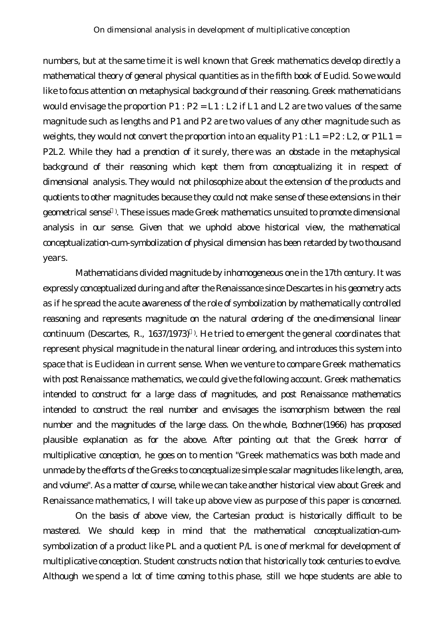numbers, but at the same time it is well known that Greek mathematics develop directly a mathematical theory of general physical quantities as in the fifth book of Euclid. So we would like to focus attention on metaphysical background of their reasoning. Greek mathematicians would envisage the proportion  $P1$  :  $P2 = L1$  :  $L2$  if  $L1$  and  $L2$  are two values of the same magnitude such as lengths and P1 and P2 are two values of any other magnitude such as weights, they would not convert the proportion into an equality  $P1: L1 = P2: L2$ , or  $P1L1 =$ P2L2. While they had a prenotion of it surely, there was an obstacle in the metaphysical background of their reasoning which kept them from conceptualizing it in respect of dimensional analysis. They would not philosophize about the extension of the products and quotients to other magnitudes because they could not make sense of these extensions in their geometrical sense ) . These issues made Greek mathematics unsuited to promote dimensional analysis in our sense. Given that we uphold above historical view, the mathematical conceptualization-cum-symbolization of physical dimension has been retarded by two thousand years.

Mathematicians divided magnitude by inhomogeneous one in the 17th century. It was expressly conceptualized during and after the Renaissance since Descartes in his geometry acts as if he spread the acute awareness of the role of symbolization by mathematically controlled reasoning and represents magnitude on the natural ordering of the one-dimensional linear continuum (Descartes, R., 1637/1973) ) . He tried to emergent the general coordinates that represent physical magnitude in the natural linear ordering, and introduces this system into space that is Euclidean in current sense. When we venture to compare Greek mathematics with post Renaissance mathematics, we could give the following account. Greek mathematics intended to construct for a large class of magnitudes, and post Renaissance mathematics intended to construct the real number and envisages the isomorphism between the real number and the magnitudes of the large class. On the whole, Bochner(1966) has proposed plausible explanation as for the above. After pointing out that the Greek horror of multiplicative conception, he goes on to mention "Greek mathematics was both made and unmade by the efforts of the Greeks to conceptualize simple scalar magnitudes like length, area, and volume". As a matter of course, while we can take another historical view about Greek and Renaissance mathematics, I will take up above view as purpose of this paper is concerned.

On the basis of above view, the Cartesian product is historically difficult to be mastered. We should keep in mind that the mathematical conceptualization-cumsymbolization of a product like PL and a quotient P/L is one of merkmal for development of multiplicative conception. Student constructs notion that historically took centuries to evolve. Although we spend a lot of time coming to this phase, still we hope students are able to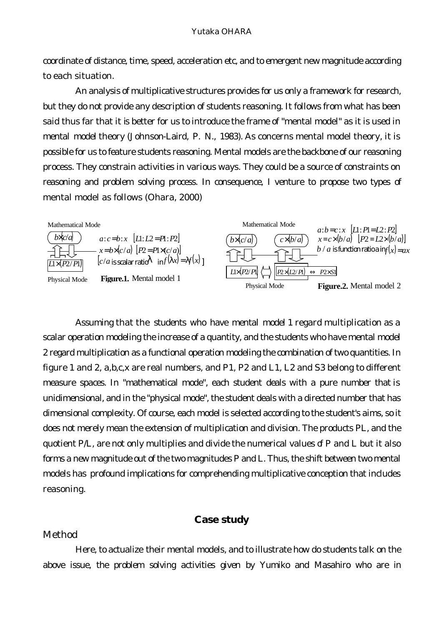coordinate of distance, time, speed, acceleration etc, and to emergent new magnitude according to each situation.

An analysis of multiplicative structures provides for us only a framework for research, but they do not provide any description of students reasoning. It follows from what has been said thus far that it is better for us to introduce the frame of "mental model" as it is used in mental model theory (Johnson-Laird, P. N., 1983). As concerns mental model theory, it is possible for us to feature students reasoning. Mental models are the backbone of our reasoning process. They constrain activities in various ways. They could be a source of constraints on reasoning and problem solving process. In consequence, I venture to propose two types of mental model as follows (Ohara, 2000)



Assuming that the students who have mental model 1 regard multiplication as a scalar operation modeling the increase of a quantity, and the students who have mental model 2 regard multiplication as a functional operation modeling the combination of two quantities. In figure 1 and 2, a,b,c,x are real numbers, and P1, P2 and L1, L2 and S3 belong to different measure spaces. In "mathematical mode", each student deals with a pure number that is unidimensional, and in the "physical mode", the student deals with a directed number that has dimensional complexity. Of course, each model is selected according to the student's aims, so it does not merely mean the extension of multiplication and division. The products PL, and the quotient P/L, are not only multiplies and divide the numerical values of P and L but it also forms a new magnitude out of the two magnitudes P and L. Thus, the shift between two mental models has profound implications for comprehending multiplicative conception that includes reasoning.

#### **Case study**

### *Method*

Here, to actualize their mental models, and to illustrate how do students talk on the above issue, the problem solving activities given by Yumiko and Masahiro who are in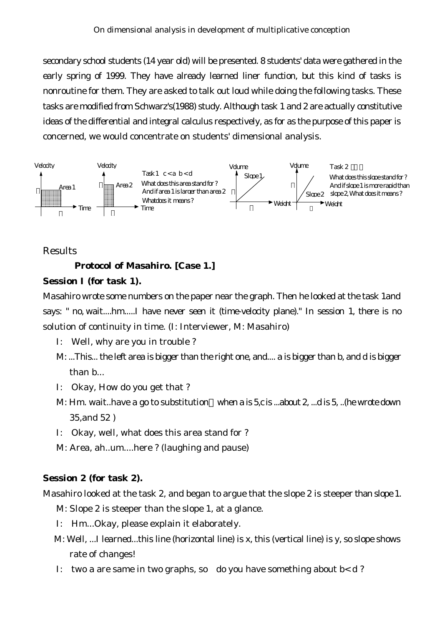secondary school students (14 year old) will be presented. 8 students' data were gathered in the early spring of 1999. They have already learned liner function, but this kind of tasks is nonroutine for them. They are asked to talk out loud while doing the following tasks. These tasks are modified from Schwarz's(1988) study. Although task 1 and 2 are actually constitutive ideas of the differential and integral calculus respectively, as for as the purpose of this paper is concerned, we would concentrate on students' dimensional analysis.



### *Results*

#### **Protocol of Masahiro. [Case 1.]**

#### **Session I (for task 1).**

Masahiro wrote some numbers on the paper near the graph. Then he looked at the task 1and says: " no, wait....hm.....I have never seen it (time-velocity plane)." In session 1, there is no solution of continuity in time. (I: Interviewer, M: Masahiro)

- I: Well, why are you in trouble ?
- M: ...This... the left area is bigger than the right one, and.... a is bigger than b, and d is bigger than b...
- I: Okay, How do you get that ?
- M: Hm. wait..have a go to substitution when a is 5,c is ...about 2, ...d is 5, ..(he wrote down 35,and 52 )
- I: Okay, well, what does this area stand for ?
- M: Area, ah..um....here ? (laughing and pause)

#### **Session 2 (for task 2).**

Masahiro looked at the task 2, and began to argue that the slope 2 is steeper than slope 1.

M: Slope 2 is steeper than the slope 1, at a glance.

- I: Hm...Okay, please explain it elaborately.
- M: Well, ...I learned...this line (horizontal line) is x, this (vertical line) is y, so slope shows rate of changes!
- I: two a are same in two graphs, so do you have something about  $b < d$ ?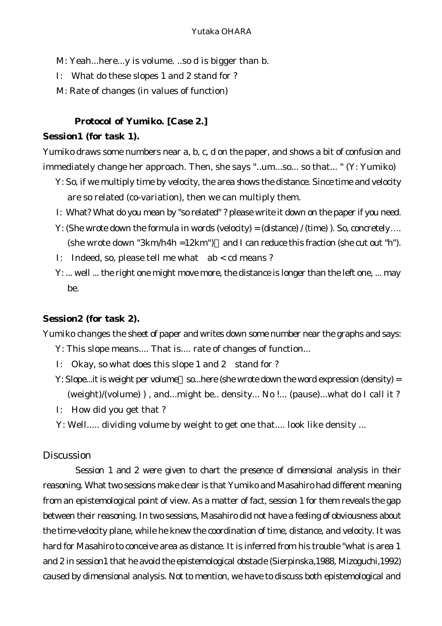- M: Yeah...here...y is volume. ..so d is bigger than b.
- I: What do these slopes 1 and 2 stand for ?
- M: Rate of changes (in values of function)

#### **Protocol of Yumiko. [Case 2.]**

#### **Session1 (for task 1).**

Yumiko draws some numbers near a, b, c, d on the paper, and shows a bit of confusion and immediately change her approach. Then, she says "..um...so... so that... " (Y: Yumiko)

- Y: So, if we multiply time by velocity, the area shows the distance. Since time and velocity are so related (co-variation), then we can multiply them.
- I: What? What do you mean by "so related" ? please write it down on the paper if you need.
- Y: (She wrote down the formula in words (velocity) = (distance) / (time) ). So, concretely…. (she wrote down "3km/h4h =12km") and I can reduce this fraction (she cut out "h").
- I: Indeed, so, please tell me what ab < cd means ?
- Y: ... well ... the right one might move more, the distance is longer than the left one, ... may be.

#### **Session2 (for task 2).**

Yumiko changes the sheet of paper and writes down some number near the graphs and says:

- Y: This slope means.... That is.... rate of changes of function...
- I: Okay, so what does this slope 1 and 2 stand for ?
- Y: Slope...it is weight per volume so...here (she wrote down the word expression (density) = (weight)/(volume) ) , and...might be.. density... No !... (pause)...what do I call it ?
- I: How did you get that ?
- Y: Well..... dividing volume by weight to get one that.... look like density ...

### *Discussion*

Session 1 and 2 were given to chart the presence of dimensional analysis in their reasoning. What two sessions make clear is that Yumiko and Masahiro had different meaning from an epistemological point of view. As a matter of fact, session 1 for them reveals the gap between their reasoning. In two sessions, Masahiro did not have a feeling of obviousness about the time-velocity plane, while he knew the coordination of time, distance, and velocity. It was hard for Masahiro to conceive area as distance. It is inferred from his trouble "what is area 1 and 2 in session1 that he avoid the epistemological obstacle (Sierpinska,1988, Mizoguchi,1992) caused by dimensional analysis. Not to mention, we have to discuss both epistemological and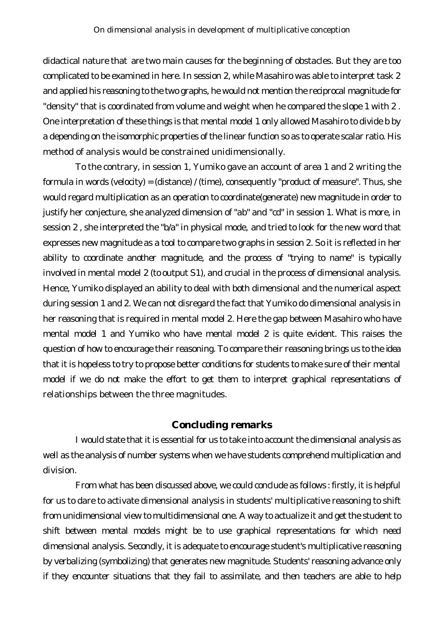didactical nature that are two main causes for the beginning of obstacles. But they are too complicated to be examined in here. In session 2, while Masahiro was able to interpret task 2 and applied his reasoning to the two graphs, he would not mention the reciprocal magnitude for "density" that is coordinated from volume and weight when he compared the slope 1 with 2 . One interpretation of these things is that mental model 1 only allowed Masahiro to divide b by a depending on the isomorphic properties of the linear function so as to operate scalar ratio. His method of analysis would be constrained unidimensionally.

To the contrary, in session 1, Yumiko gave an account of area 1 and 2 writing the formula in words (velocity) = (distance) / (time), consequently "product of measure". Thus, she would regard multiplication as an operation to coordinate(generate) new magnitude in order to justify her conjecture, she analyzed dimension of "ab" and "cd" in session 1. What is more, in session 2 , she interpreted the "b/a" in physical mode, and tried to look for the new word that expresses new magnitude as a tool to compare two graphs in session 2. So it is reflected in her ability to coordinate another magnitude, and the process of "trying to name" is typically involved in mental model 2 (to output S1), and crucial in the process of dimensional analysis. Hence, Yumiko displayed an ability to deal with both dimensional and the numerical aspect during session 1 and 2. We can not disregard the fact that Yumiko do dimensional analysis in her reasoning that is required in mental model 2. Here the gap between Masahiro who have mental model 1 and Yumiko who have mental model 2 is quite evident. This raises the question of how to encourage their reasoning. To compare their reasoning brings us to the idea that it is hopeless to try to propose better conditions for students to make sure of their mental model if we do not make the effort to get them to interpret graphical representations of relationships between the three magnitudes.

#### **Concluding remarks**

I would state that it is essential for us to take into account the dimensional analysis as well as the analysis of number systems when we have students comprehend multiplication and division.

From what has been discussed above, we could conclude as follows : firstly, it is helpful for us to dare to activate dimensional analysis in students' multiplicative reasoning to shift from unidimensional view to multidimensional one. A way to actualize it and get the student to shift between mental models might be to use graphical representations for which need dimensional analysis. Secondly, it is adequate to encourage student's multiplicative reasoning by verbalizing (symbolizing) that generates new magnitude. Students' reasoning advance only if they encounter situations that they fail to assimilate, and then teachers are able to help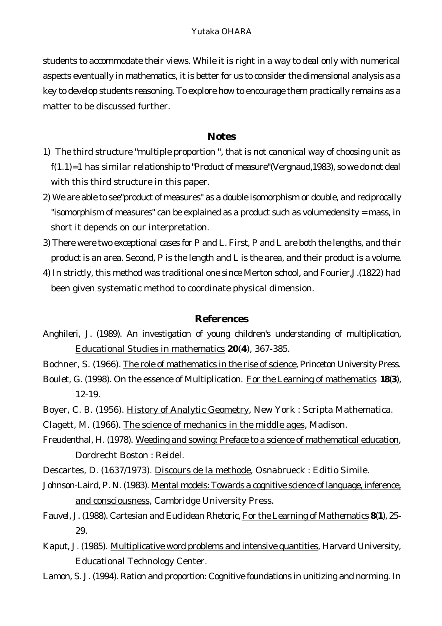students to accommodate their views. While it is right in a way to deal only with numerical aspects eventually in mathematics, it is better for us to consider the dimensional analysis as a key to develop students reasoning. To explore how to encourage them practically remains as a matter to be discussed further.

#### **Notes**

- 1) The third structure "multiple proportion ", that is not canonical way of choosing unit as  $f(1.1)=1$  has similar relationship to "Product of measure"(Vergnaud, 1983), so we do not deal with this third structure in this paper.
- 2) We are able to see"product of measures" as a double isomorphism or double, and reciprocally "isomorphism of measures" can be explained as a product such as volumedensity = mass, in short it depends on our interpretation.
- 3) There were two exceptional cases for P and L. First, P and L are both the lengths, and their product is an area. Second, P is the length and L is the area, and their product is a volume.
- 4) In strictly, this method was traditional one since Merton school, and Fourier,J.(1822) had been given systematic method to coordinate physical dimension.

#### **References**

- Anghileri, J. (1989). An investigation of young children's understanding of multiplication, Educational Studies in mathematics **20**(**4**), 367-385.
- Bochner, S. (1966). The role of mathematics in the rise of science, Princeton University Press.
- Boulet, G. (1998). On the essence of Multiplication. For the Learning of mathematics **18**(**3**), 12-19.
- Boyer, C. B. (1956). History of Analytic Geometry, New York : Scripta Mathematica.
- Clagett, M. (1966). The science of mechanics in the middle ages, Madison.
- Freudenthal, H. (1978). Weeding and sowing: Preface to a science of mathematical education, Dordrecht Boston : Reidel.
- Descartes, D. (1637/1973). Discours de la methode, Osnabrueck : Editio Simile.
- Johnson-Laird, P. N. (1983). Mental models: Towards a cognitive science of language, inference, and consciousness, Cambridge University Press.
- Fauvel, J. (1988). Cartesian and Euclidean Rhetoric, For the Learning of Mathematics **8**(**1**), 25- 29.
- Kaput, J. (1985). Multiplicative word problems and intensive quantities, Harvard University, Educational Technology Center.
- Lamon, S. J. (1994). Ration and proportion: Cognitive foundations in unitizing and norming. In